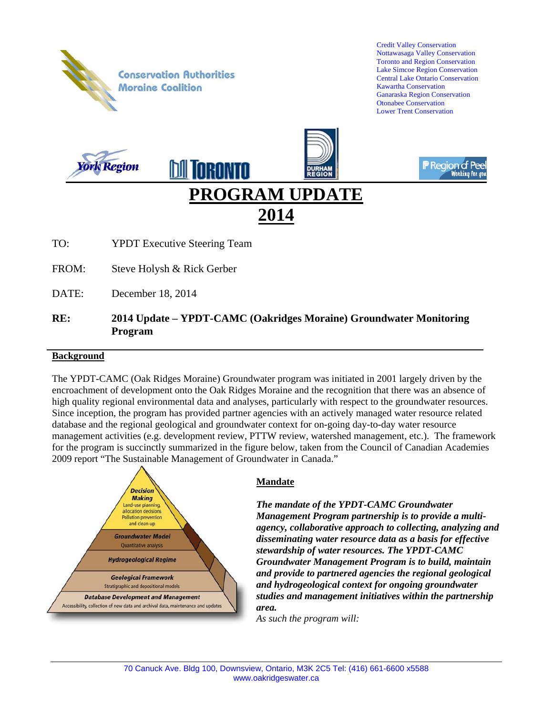

### **RE: 2014 Update – YPDT-CAMC (Oakridges Moraine) Groundwater Monitoring Program**

#### **Background**

The YPDT-CAMC (Oak Ridges Moraine) Groundwater program was initiated in 2001 largely driven by the encroachment of development onto the Oak Ridges Moraine and the recognition that there was an absence of high quality regional environmental data and analyses, particularly with respect to the groundwater resources. Since inception, the program has provided partner agencies with an actively managed water resource related database and the regional geological and groundwater context for on-going day-to-day water resource management activities (e.g. development review, PTTW review, watershed management, etc.). The framework for the program is succinctly summarized in the figure below, taken from the Council of Canadian Academies 2009 report "The Sustainable Management of Groundwater in Canada."



### **Mandate**

*The mandate of the YPDT-CAMC Groundwater Management Program partnership is to provide a multiagency, collaborative approach to collecting, analyzing and disseminating water resource data as a basis for effective stewardship of water resources. The YPDT-CAMC Groundwater Management Program is to build, maintain and provide to partnered agencies the regional geological and hydrogeological context for ongoing groundwater studies and management initiatives within the partnership area.* 

*As such the program will:*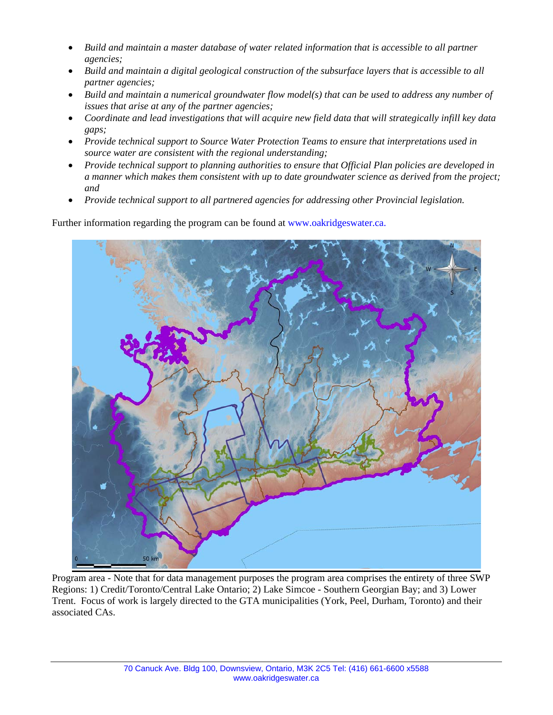- *Build and maintain a master database of water related information that is accessible to all partner agencies;*
- *Build and maintain a digital geological construction of the subsurface layers that is accessible to all partner agencies;*
- *Build and maintain a numerical groundwater flow model(s) that can be used to address any number of issues that arise at any of the partner agencies;*
- *Coordinate and lead investigations that will acquire new field data that will strategically infill key data gaps;*
- *Provide technical support to Source Water Protection Teams to ensure that interpretations used in source water are consistent with the regional understanding;*
- *Provide technical support to planning authorities to ensure that Official Plan policies are developed in a manner which makes them consistent with up to date groundwater science as derived from the project; and*
- *Provide technical support to all partnered agencies for addressing other Provincial legislation.*

Further information regarding the program can be found at www.oakridgeswater.ca.



Program area - Note that for data management purposes the program area comprises the entirety of three SWP Regions: 1) Credit/Toronto/Central Lake Ontario; 2) Lake Simcoe - Southern Georgian Bay; and 3) Lower Trent. Focus of work is largely directed to the GTA municipalities (York, Peel, Durham, Toronto) and their associated CAs.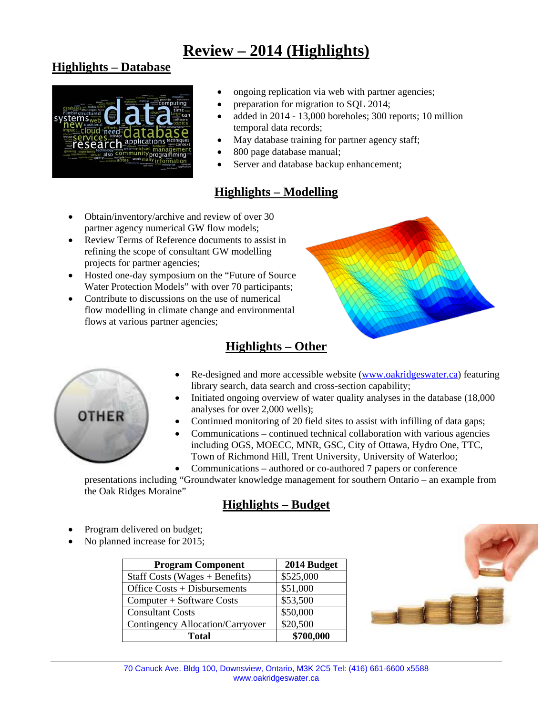# **Review – 2014 (Highlights)**

## **Highlights – Database**



- ongoing replication via web with partner agencies;
- preparation for migration to SQL 2014;
- added in 2014 13,000 boreholes; 300 reports; 10 million temporal data records;
- May database training for partner agency staff;
- 800 page database manual;
- Server and database backup enhancement;

# **Highlights – Modelling**

- Obtain/inventory/archive and review of over 30 partner agency numerical GW flow models;
- Review Terms of Reference documents to assist in refining the scope of consultant GW modelling projects for partner agencies;
- Hosted one-day symposium on the "Future of Source" Water Protection Models" with over 70 participants;
- Contribute to discussions on the use of numerical flow modelling in climate change and environmental flows at various partner agencies;





# **Highlights – Other**

- Re-designed and more accessible website (www.oakridgeswater.ca) featuring library search, data search and cross-section capability;
- Initiated ongoing overview of water quality analyses in the database (18,000 analyses for over 2,000 wells);
- Continued monitoring of 20 field sites to assist with infilling of data gaps;
- Communications continued technical collaboration with various agencies including OGS, MOECC, MNR, GSC, City of Ottawa, Hydro One, TTC, Town of Richmond Hill, Trent University, University of Waterloo;
- Communications authored or co-authored 7 papers or conference

presentations including "Groundwater knowledge management for southern Ontario – an example from the Oak Ridges Moraine"

## **Highlights – Budget**

- Program delivered on budget;
- No planned increase for 2015;

| <b>Program Component</b>         | 2014 Budget |
|----------------------------------|-------------|
| Staff Costs (Wages $+$ Benefits) | \$525,000   |
| Office Costs + Disbursements     | \$51,000    |
| Computer + Software Costs        | \$53,500    |
| <b>Consultant Costs</b>          | \$50,000    |
| Contingency Allocation/Carryover | \$20,500    |
| Total                            | \$700,000   |

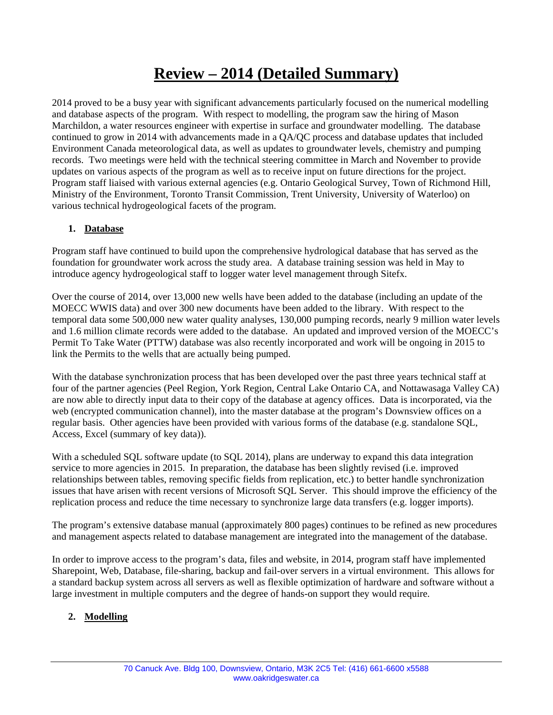# **Review – 2014 (Detailed Summary)**

2014 proved to be a busy year with significant advancements particularly focused on the numerical modelling and database aspects of the program. With respect to modelling, the program saw the hiring of Mason Marchildon, a water resources engineer with expertise in surface and groundwater modelling. The database continued to grow in 2014 with advancements made in a QA/QC process and database updates that included Environment Canada meteorological data, as well as updates to groundwater levels, chemistry and pumping records. Two meetings were held with the technical steering committee in March and November to provide updates on various aspects of the program as well as to receive input on future directions for the project. Program staff liaised with various external agencies (e.g. Ontario Geological Survey, Town of Richmond Hill, Ministry of the Environment, Toronto Transit Commission, Trent University, University of Waterloo) on various technical hydrogeological facets of the program.

### **1. Database**

Program staff have continued to build upon the comprehensive hydrological database that has served as the foundation for groundwater work across the study area. A database training session was held in May to introduce agency hydrogeological staff to logger water level management through Sitefx.

Over the course of 2014, over 13,000 new wells have been added to the database (including an update of the MOECC WWIS data) and over 300 new documents have been added to the library. With respect to the temporal data some 500,000 new water quality analyses, 130,000 pumping records, nearly 9 million water levels and 1.6 million climate records were added to the database. An updated and improved version of the MOECC's Permit To Take Water (PTTW) database was also recently incorporated and work will be ongoing in 2015 to link the Permits to the wells that are actually being pumped.

With the database synchronization process that has been developed over the past three years technical staff at four of the partner agencies (Peel Region, York Region, Central Lake Ontario CA, and Nottawasaga Valley CA) are now able to directly input data to their copy of the database at agency offices. Data is incorporated, via the web (encrypted communication channel), into the master database at the program's Downsview offices on a regular basis. Other agencies have been provided with various forms of the database (e.g. standalone SQL, Access, Excel (summary of key data)).

With a scheduled SQL software update (to SQL 2014), plans are underway to expand this data integration service to more agencies in 2015. In preparation, the database has been slightly revised (i.e. improved relationships between tables, removing specific fields from replication, etc.) to better handle synchronization issues that have arisen with recent versions of Microsoft SQL Server. This should improve the efficiency of the replication process and reduce the time necessary to synchronize large data transfers (e.g. logger imports).

The program's extensive database manual (approximately 800 pages) continues to be refined as new procedures and management aspects related to database management are integrated into the management of the database.

In order to improve access to the program's data, files and website, in 2014, program staff have implemented Sharepoint, Web, Database, file-sharing, backup and fail-over servers in a virtual environment. This allows for a standard backup system across all servers as well as flexible optimization of hardware and software without a large investment in multiple computers and the degree of hands-on support they would require.

### **2. Modelling**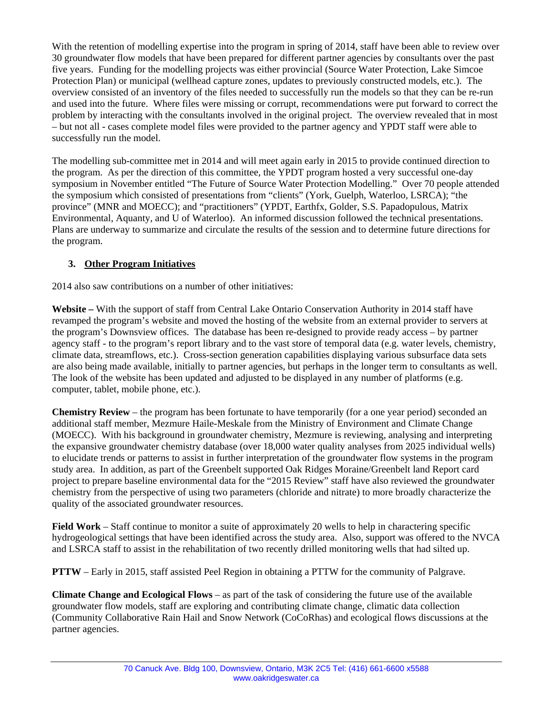With the retention of modelling expertise into the program in spring of 2014, staff have been able to review over 30 groundwater flow models that have been prepared for different partner agencies by consultants over the past five years. Funding for the modelling projects was either provincial (Source Water Protection, Lake Simcoe Protection Plan) or municipal (wellhead capture zones, updates to previously constructed models, etc.). The overview consisted of an inventory of the files needed to successfully run the models so that they can be re-run and used into the future. Where files were missing or corrupt, recommendations were put forward to correct the problem by interacting with the consultants involved in the original project. The overview revealed that in most – but not all - cases complete model files were provided to the partner agency and YPDT staff were able to successfully run the model.

The modelling sub-committee met in 2014 and will meet again early in 2015 to provide continued direction to the program. As per the direction of this committee, the YPDT program hosted a very successful one-day symposium in November entitled "The Future of Source Water Protection Modelling." Over 70 people attended the symposium which consisted of presentations from "clients" (York, Guelph, Waterloo, LSRCA); "the province" (MNR and MOECC); and "practitioners" (YPDT, Earthfx, Golder, S.S. Papadopulous, Matrix Environmental, Aquanty, and U of Waterloo). An informed discussion followed the technical presentations. Plans are underway to summarize and circulate the results of the session and to determine future directions for the program.

### **3. Other Program Initiatives**

2014 also saw contributions on a number of other initiatives:

**Website –** With the support of staff from Central Lake Ontario Conservation Authority in 2014 staff have revamped the program's website and moved the hosting of the website from an external provider to servers at the program's Downsview offices. The database has been re-designed to provide ready access – by partner agency staff - to the program's report library and to the vast store of temporal data (e.g. water levels, chemistry, climate data, streamflows, etc.). Cross-section generation capabilities displaying various subsurface data sets are also being made available, initially to partner agencies, but perhaps in the longer term to consultants as well. The look of the website has been updated and adjusted to be displayed in any number of platforms (e.g. computer, tablet, mobile phone, etc.).

**Chemistry Review** – the program has been fortunate to have temporarily (for a one year period) seconded an additional staff member, Mezmure Haile-Meskale from the Ministry of Environment and Climate Change (MOECC). With his background in groundwater chemistry, Mezmure is reviewing, analysing and interpreting the expansive groundwater chemistry database (over 18,000 water quality analyses from 2025 individual wells) to elucidate trends or patterns to assist in further interpretation of the groundwater flow systems in the program study area. In addition, as part of the Greenbelt supported Oak Ridges Moraine/Greenbelt land Report card project to prepare baseline environmental data for the "2015 Review" staff have also reviewed the groundwater chemistry from the perspective of using two parameters (chloride and nitrate) to more broadly characterize the quality of the associated groundwater resources.

**Field Work** – Staff continue to monitor a suite of approximately 20 wells to help in charactering specific hydrogeological settings that have been identified across the study area. Also, support was offered to the NVCA and LSRCA staff to assist in the rehabilitation of two recently drilled monitoring wells that had silted up.

**PTTW** – Early in 2015, staff assisted Peel Region in obtaining a PTTW for the community of Palgrave.

**Climate Change and Ecological Flows** – as part of the task of considering the future use of the available groundwater flow models, staff are exploring and contributing climate change, climatic data collection (Community Collaborative Rain Hail and Snow Network (CoCoRhas) and ecological flows discussions at the partner agencies.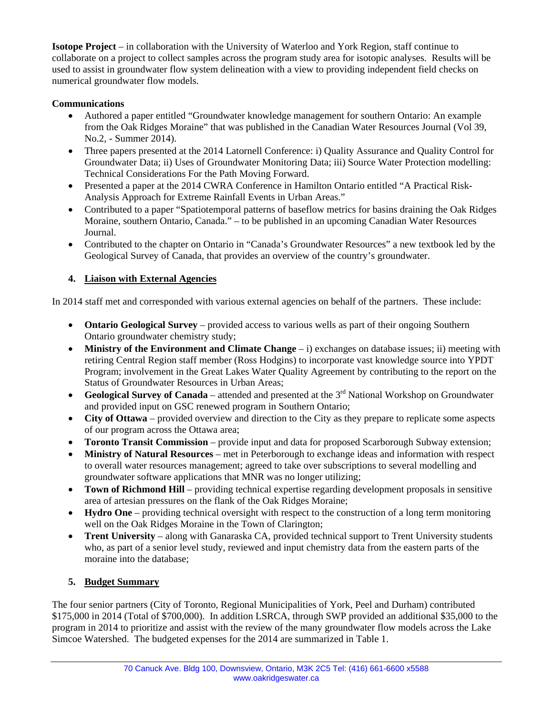**Isotope Project** – in collaboration with the University of Waterloo and York Region, staff continue to collaborate on a project to collect samples across the program study area for isotopic analyses. Results will be used to assist in groundwater flow system delineation with a view to providing independent field checks on numerical groundwater flow models.

### **Communications**

- Authored a paper entitled "Groundwater knowledge management for southern Ontario: An example from the Oak Ridges Moraine" that was published in the Canadian Water Resources Journal (Vol 39, No.2, - Summer 2014).
- Three papers presented at the 2014 Latornell Conference: i) Quality Assurance and Quality Control for Groundwater Data; ii) Uses of Groundwater Monitoring Data; iii) Source Water Protection modelling: Technical Considerations For the Path Moving Forward.
- Presented a paper at the 2014 CWRA Conference in Hamilton Ontario entitled "A Practical Risk-Analysis Approach for Extreme Rainfall Events in Urban Areas."
- Contributed to a paper "Spatiotemporal patterns of baseflow metrics for basins draining the Oak Ridges Moraine, southern Ontario, Canada." – to be published in an upcoming Canadian Water Resources Journal.
- Contributed to the chapter on Ontario in "Canada's Groundwater Resources" a new textbook led by the Geological Survey of Canada, that provides an overview of the country's groundwater.

### **4. Liaison with External Agencies**

In 2014 staff met and corresponded with various external agencies on behalf of the partners. These include:

- **Ontario Geological Survey** provided access to various wells as part of their ongoing Southern Ontario groundwater chemistry study;
- **Ministry of the Environment and Climate Change** i) exchanges on database issues; ii) meeting with retiring Central Region staff member (Ross Hodgins) to incorporate vast knowledge source into YPDT Program; involvement in the Great Lakes Water Quality Agreement by contributing to the report on the Status of Groundwater Resources in Urban Areas;
- Geological Survey of Canada attended and presented at the 3<sup>rd</sup> National Workshop on Groundwater and provided input on GSC renewed program in Southern Ontario;
- **City of Ottawa** provided overview and direction to the City as they prepare to replicate some aspects of our program across the Ottawa area;
- **Toronto Transit Commission** provide input and data for proposed Scarborough Subway extension;
- **Ministry of Natural Resources** met in Peterborough to exchange ideas and information with respect to overall water resources management; agreed to take over subscriptions to several modelling and groundwater software applications that MNR was no longer utilizing;
- **Town of Richmond Hill** providing technical expertise regarding development proposals in sensitive area of artesian pressures on the flank of the Oak Ridges Moraine;
- **Hydro One** providing technical oversight with respect to the construction of a long term monitoring well on the Oak Ridges Moraine in the Town of Clarington;
- **Trent University** along with Ganaraska CA, provided technical support to Trent University students who, as part of a senior level study, reviewed and input chemistry data from the eastern parts of the moraine into the database;

### **5. Budget Summary**

The four senior partners (City of Toronto, Regional Municipalities of York, Peel and Durham) contributed \$175,000 in 2014 (Total of \$700,000). In addition LSRCA, through SWP provided an additional \$35,000 to the program in 2014 to prioritize and assist with the review of the many groundwater flow models across the Lake Simcoe Watershed. The budgeted expenses for the 2014 are summarized in Table 1.